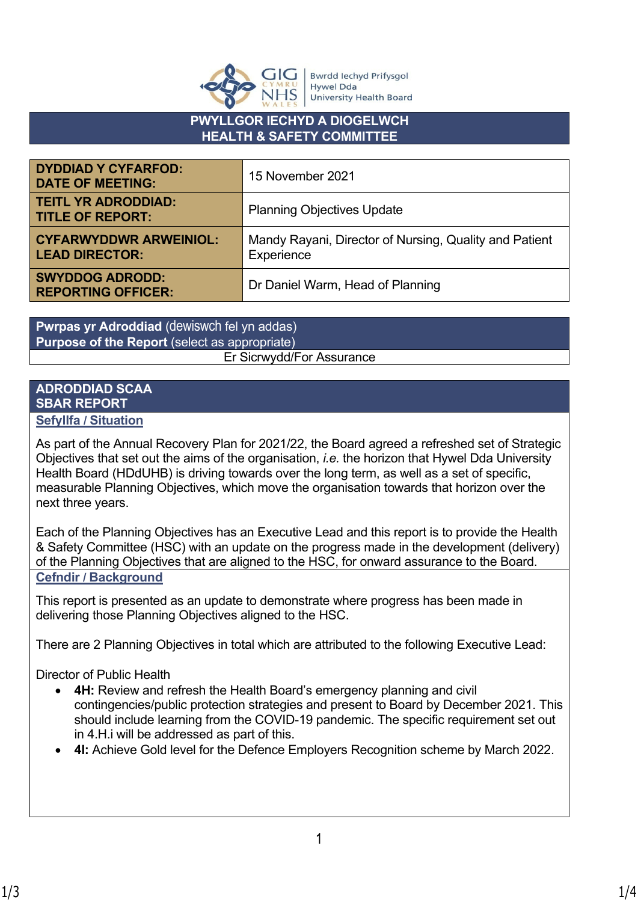

**Bwrdd lechyd Prifysgol Hywel Dda** University Health Board

## **PWYLLGOR IECHYD A DIOGELWCH HEALTH & SAFETY COMMITTEE**

| <b>DYDDIAD Y CYFARFOD:</b><br><b>DATE OF MEETING:</b>  | 15 November 2021                                                     |
|--------------------------------------------------------|----------------------------------------------------------------------|
| <b>TEITL YR ADRODDIAD:</b><br><b>TITLE OF REPORT:</b>  | <b>Planning Objectives Update</b>                                    |
| <b>CYFARWYDDWR ARWEINIOL:</b><br><b>LEAD DIRECTOR:</b> | Mandy Rayani, Director of Nursing, Quality and Patient<br>Experience |
| <b>SWYDDOG ADRODD:</b><br><b>REPORTING OFFICER:</b>    | Dr Daniel Warm, Head of Planning                                     |

**Pwrpas yr Adroddiad** (dewiswch fel yn addas) **Purpose of the Report** (select as appropriate) Er Sicrwydd/For Assurance

# **ADRODDIAD SCAA SBAR REPORT**

## **Sefyllfa / Situation**

As part of the Annual Recovery Plan for 2021/22, the Board agreed a refreshed set of Strategic Objectives that set out the aims of the organisation, *i.e.* the horizon that Hywel Dda University Health Board (HDdUHB) is driving towards over the long term, as well as a set of specific, measurable Planning Objectives, which move the organisation towards that horizon over the next three years.

Each of the Planning Objectives has an Executive Lead and this report is to provide the Health & Safety Committee (HSC) with an update on the progress made in the development (delivery) of the Planning Objectives that are aligned to the HSC, for onward assurance to the Board. **Cefndir / Background**

This report is presented as an update to demonstrate where progress has been made in delivering those Planning Objectives aligned to the HSC.

There are 2 Planning Objectives in total which are attributed to the following Executive Lead:

Director of Public Health

- **4H:** Review and refresh the Health Board's emergency planning and civil contingencies/public protection strategies and present to Board by December 2021. This should include learning from the COVID-19 pandemic. The specific requirement set out in 4.H.i will be addressed as part of this.
- **4I:** Achieve Gold level for the Defence Employers Recognition scheme by March 2022.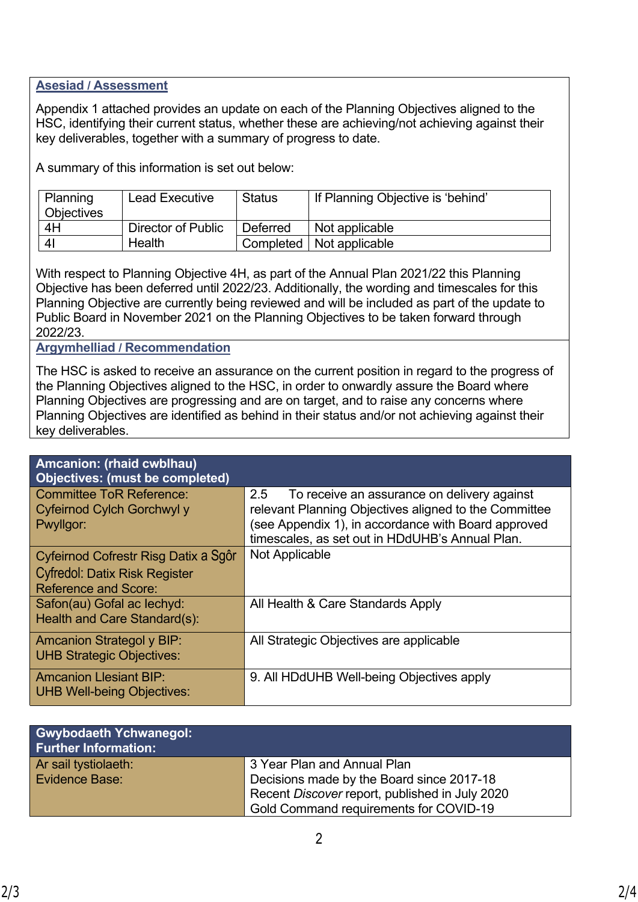### **Asesiad / Assessment**

Appendix 1 attached provides an update on each of the Planning Objectives aligned to the HSC, identifying their current status, whether these are achieving/not achieving against their key deliverables, together with a summary of progress to date.

A summary of this information is set out below:

| Planning          | <b>Lead Executive</b> | Status   | If Planning Objective is 'behind' |  |
|-------------------|-----------------------|----------|-----------------------------------|--|
| <b>Objectives</b> |                       |          |                                   |  |
| 4H                | Director of Public    | Deferred | Not applicable                    |  |
| 4 <sub>l</sub>    | Health                |          | Completed   Not applicable        |  |

With respect to Planning Objective 4H, as part of the Annual Plan 2021/22 this Planning Objective has been deferred until 2022/23. Additionally, the wording and timescales for this Planning Objective are currently being reviewed and will be included as part of the update to Public Board in November 2021 on the Planning Objectives to be taken forward through 2022/23.

### **Argymhelliad / Recommendation**

The HSC is asked to receive an assurance on the current position in regard to the progress of the Planning Objectives aligned to the HSC, in order to onwardly assure the Board where Planning Objectives are progressing and are on target, and to raise any concerns where Planning Objectives are identified as behind in their status and/or not achieving against their key deliverables.

| Amcanion: (rhaid cwblhau)<br><b>Objectives: (must be completed)</b>                                         |                                                                                                                                                                                                                       |
|-------------------------------------------------------------------------------------------------------------|-----------------------------------------------------------------------------------------------------------------------------------------------------------------------------------------------------------------------|
| <b>Committee ToR Reference:</b><br>Cyfeirnod Cylch Gorchwyl y<br>Pwyllgor:                                  | 2.5<br>To receive an assurance on delivery against<br>relevant Planning Objectives aligned to the Committee<br>(see Appendix 1), in accordance with Board approved<br>timescales, as set out in HDdUHB's Annual Plan. |
| Cyfeirnod Cofrestr Risg Datix a Sgôr<br><b>Cyfredol: Datix Risk Register</b><br><b>Reference and Score:</b> | Not Applicable                                                                                                                                                                                                        |
| Safon(au) Gofal ac lechyd:<br>Health and Care Standard(s):                                                  | All Health & Care Standards Apply                                                                                                                                                                                     |
| <b>Amcanion Strategol y BIP:</b><br><b>UHB Strategic Objectives:</b>                                        | All Strategic Objectives are applicable                                                                                                                                                                               |
| <b>Amcanion Llesiant BIP:</b><br><b>UHB Well-being Objectives:</b>                                          | 9. All HDdUHB Well-being Objectives apply                                                                                                                                                                             |

| <b>Gwybodaeth Ychwanegol:</b><br><b>Further Information:</b> |                                                |
|--------------------------------------------------------------|------------------------------------------------|
| Ar sail tystiolaeth:                                         | 3 Year Plan and Annual Plan                    |
| <b>Evidence Base:</b>                                        | Decisions made by the Board since 2017-18      |
|                                                              | Recent Discover report, published in July 2020 |
|                                                              | Gold Command requirements for COVID-19         |

Choose an item.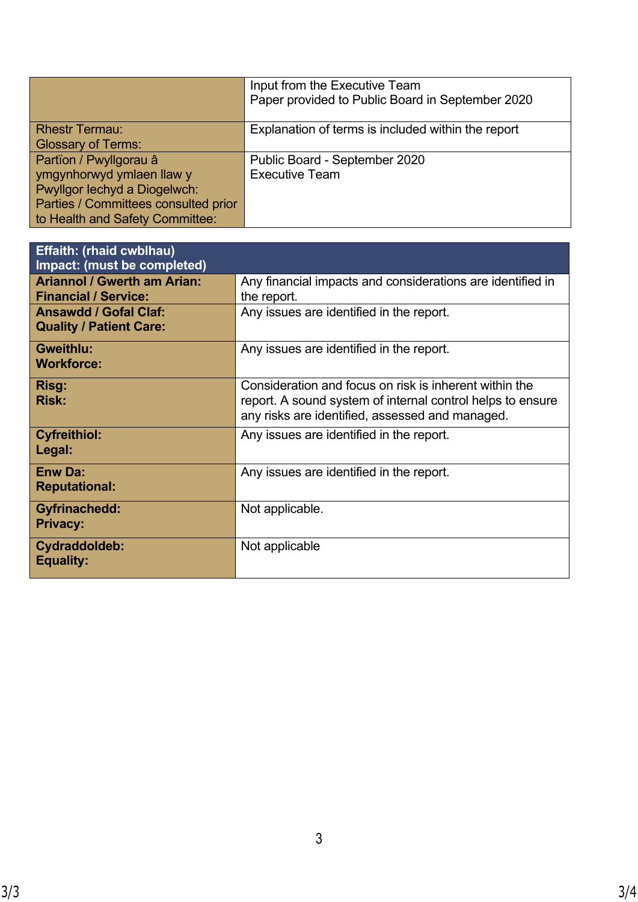|                                                                      | Input from the Executive Team<br>Paper provided to Public Board in September 2020 |
|----------------------------------------------------------------------|-----------------------------------------------------------------------------------|
| <b>Rhestr Termau:</b><br><b>Glossary of Terms:</b>                   | Explanation of terms is included within the report                                |
| Partïon / Pwyllgorau â<br>ymgynhorwyd ymlaen llaw y                  | Public Board - September 2020<br><b>Executive Team</b>                            |
| Pwyllgor lechyd a Diogelwch:<br>Parties / Committees consulted prior |                                                                                   |
| to Health and Safety Committee:                                      |                                                                                   |

| <b>Effaith: (rhaid cwblhau)</b><br>Impact: (must be completed)    |                                                                                                                                                                         |
|-------------------------------------------------------------------|-------------------------------------------------------------------------------------------------------------------------------------------------------------------------|
| <b>Ariannol / Gwerth am Arian:</b><br><b>Financial / Service:</b> | Any financial impacts and considerations are identified in<br>the report.                                                                                               |
| <b>Ansawdd / Gofal Claf:</b><br><b>Quality / Patient Care:</b>    | Any issues are identified in the report.                                                                                                                                |
| <b>Gweithlu:</b><br><b>Workforce:</b>                             | Any issues are identified in the report.                                                                                                                                |
| <b>Risg:</b><br><b>Risk:</b>                                      | Consideration and focus on risk is inherent within the<br>report. A sound system of internal control helps to ensure<br>any risks are identified, assessed and managed. |
| <b>Cyfreithiol:</b><br>Legal:                                     | Any issues are identified in the report.                                                                                                                                |
| <b>Enw Da:</b><br><b>Reputational:</b>                            | Any issues are identified in the report.                                                                                                                                |
| Gyfrinachedd:<br><b>Privacy:</b>                                  | Not applicable.                                                                                                                                                         |
| Cydraddoldeb:<br><b>Equality:</b>                                 | Not applicable                                                                                                                                                          |